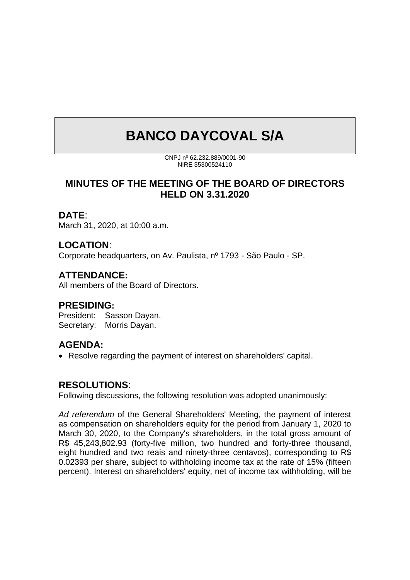# **BANCO DAYCOVAL S/A**

CNPJ nº 62.232.889/0001-90 NIRE 35300524110

**MINUTES OF THE MEETING OF THE BOARD OF DIRECTORS HELD ON 3.31.2020**

#### **DATE**:

March 31, 2020, at 10:00 a.m.

# **LOCATION**:

Corporate headquarters, on Av. Paulista, nº 1793 - São Paulo - SP.

#### **ATTENDANCE:**

All members of the Board of Directors.

#### **PRESIDING:**

President: Sasson Dayan. Secretary: Morris Dayan.

#### **AGENDA:**

• Resolve regarding the payment of interest on shareholders' capital.

#### **RESOLUTIONS**:

Following discussions, the following resolution was adopted unanimously:

*Ad referendum* of the General Shareholders' Meeting, the payment of interest as compensation on shareholders equity for the period from January 1, 2020 to March 30, 2020, to the Company's shareholders, in the total gross amount of R\$ 45,243,802.93 (forty-five million, two hundred and forty-three thousand, eight hundred and two reais and ninety-three centavos), corresponding to R\$ 0.02393 per share, subject to withholding income tax at the rate of 15% (fifteen percent). Interest on shareholders' equity, net of income tax withholding, will be